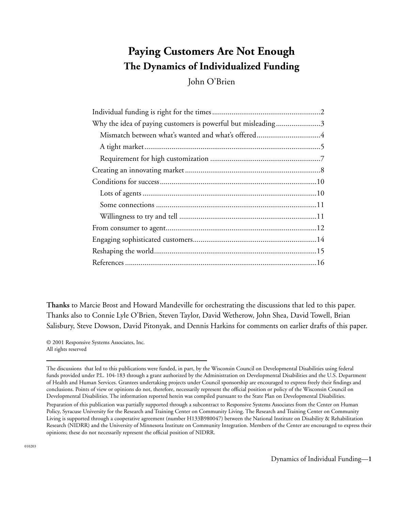# **Paying Customers Are Not Enough The Dynamics of Individualized Funding**

John O'Brien

| Why the idea of paying customers is powerful but misleading3 |  |
|--------------------------------------------------------------|--|
|                                                              |  |
|                                                              |  |
|                                                              |  |
|                                                              |  |
|                                                              |  |
|                                                              |  |
|                                                              |  |
|                                                              |  |
|                                                              |  |
|                                                              |  |
|                                                              |  |
|                                                              |  |

**Thanks** to Marcie Brost and Howard Mandeville for orchestrating the discussions that led to this paper. Thanks also to Connie Lyle O'Brien, Steven Taylor, David Wetherow, John Shea, David Towell, Brian Salisbury, Steve Dowson, David Pitonyak, and Dennis Harkins for comments on earlier drafts of this paper.

© 2001 Responsive Systems Associates, Inc. All rights reserved

The discussions that led to this publications were funded, in part, by the Wisconsin Council on Developmental Disabilities using federal funds provided under P.L. 104-183 through a grant authorized by the Administration on Developmental Disabilities and the U.S. Department of Health and Human Services. Grantees undertaking projects under Council sponsorship are encouraged to express freely their findings and conclusions. Points of view or opinions do not, therefore, necessarily represent the official position or policy of the Wisconsin Council on Developmental Disabilities. The information reported herein was compiled pursuant to the State Plan on Developmental Disabilities. Preparation of this publication was partially supported through a subcontract to Responsive Systems Associates from the Center on Human

Policy, Syracuse University for the Research and Training Center on Community Living. The Research and Training Center on Community Living is supported through a cooperative agreement (number H133B980047) between the National Institute on Disability & Rehabilitation Research (NIDRR) and the University of Minnesota Institute on Community Integration. Members of the Center are encouraged to express their opinions; these do not necessarily represent the official position of NIDRR.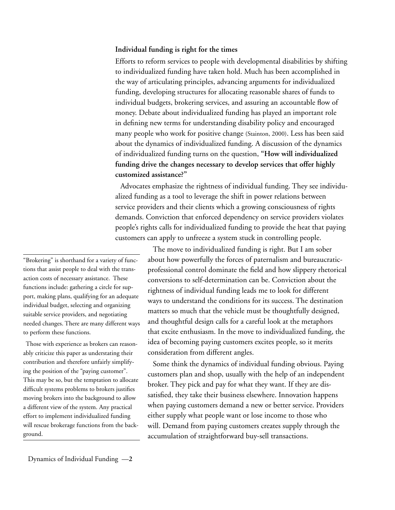#### **Individual funding is right for the times**

Efforts to reform services to people with developmental disabilities by shifting to individualized funding have taken hold. Much has been accomplished in the way of articulating principles, advancing arguments for individualized funding, developing structures for allocating reasonable shares of funds to individual budgets, brokering services, and assuring an accountable flow of money. Debate about individualized funding has played an important role in defining new terms for understanding disability policy and encouraged many people who work for positive change (Stainton, 2000). Less has been said about the dynamics of individualized funding. A discussion of the dynamics of individualized funding turns on the question, **"How will individualized funding drive the changes necessary to develop services that offer highly customized assistance?"**

Advocates emphasize the rightness of individual funding. They see individualized funding as a tool to leverage the shift in power relations between service providers and their clients which a growing consciousness of rights demands. Conviction that enforced dependency on service providers violates people's rights calls for individualized funding to provide the heat that paying customers can apply to unfreeze a system stuck in controlling people.

"Brokering" is shorthand for a variety of functions that assist people to deal with the transaction costs of necessary assistance. These functions include: gathering a circle for support, making plans, qualifying for an adequate individual budget, selecting and organizing suitable service providers, and negotiating needed changes. There are many different ways to perform these functions.

Those with experience as brokers can reasonably criticize this paper as understating their contribution and therefore unfairly simplifying the position of the "paying customer". This may be so, but the temptation to allocate difficult systems problems to brokers justifies moving brokers into the background to allow a different view of the system. Any practical effort to implement individualized funding will rescue brokerage functions from the background.

The move to individualized funding is right. But I am sober about how powerfully the forces of paternalism and bureaucraticprofessional control dominate the field and how slippery rhetorical conversions to self-determination can be. Conviction about the rightness of individual funding leads me to look for different ways to understand the conditions for its success. The destination matters so much that the vehicle must be thoughtfully designed, and thoughtful design calls for a careful look at the metaphors that excite enthusiasm. In the move to individualized funding, the idea of becoming paying customers excites people, so it merits consideration from different angles.

Some think the dynamics of individual funding obvious. Paying customers plan and shop, usually with the help of an independent broker. They pick and pay for what they want. If they are dissatisfied, they take their business elsewhere. Innovation happens when paying customers demand a new or better service. Providers either supply what people want or lose income to those who will. Demand from paying customers creates supply through the accumulation of straightforward buy-sell transactions.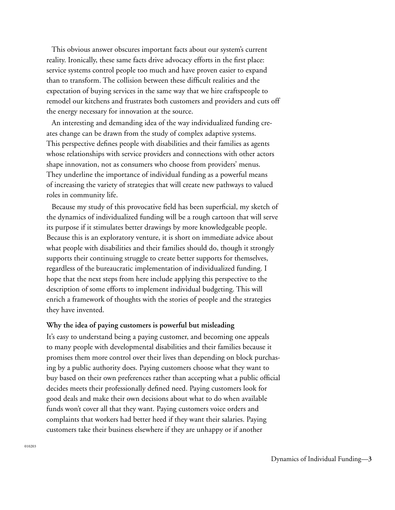This obvious answer obscures important facts about our system's current reality. Ironically, these same facts drive advocacy efforts in the first place: service systems control people too much and have proven easier to expand than to transform. The collision between these difficult realities and the expectation of buying services in the same way that we hire craftspeople to remodel our kitchens and frustrates both customers and providers and cuts off the energy necessary for innovation at the source.

An interesting and demanding idea of the way individualized funding creates change can be drawn from the study of complex adaptive systems. This perspective defines people with disabilities and their families as agents whose relationships with service providers and connections with other actors shape innovation, not as consumers who choose from providers' menus. They underline the importance of individual funding as a powerful means of increasing the variety of strategies that will create new pathways to valued roles in community life.

Because my study of this provocative field has been superficial, my sketch of the dynamics of individualized funding will be a rough cartoon that will serve its purpose if it stimulates better drawings by more knowledgeable people. Because this is an exploratory venture, it is short on immediate advice about what people with disabilities and their families should do, though it strongly supports their continuing struggle to create better supports for themselves, regardless of the bureaucratic implementation of individualized funding. I hope that the next steps from here include applying this perspective to the description of some efforts to implement individual budgeting. This will enrich a framework of thoughts with the stories of people and the strategies they have invented.

## **Why the idea of paying customers is powerful but misleading**

It's easy to understand being a paying customer, and becoming one appeals to many people with developmental disabilities and their families because it promises them more control over their lives than depending on block purchasing by a public authority does. Paying customers choose what they want to buy based on their own preferences rather than accepting what a public official decides meets their professionally defined need. Paying customers look for good deals and make their own decisions about what to do when available funds won't cover all that they want. Paying customers voice orders and complaints that workers had better heed if they want their salaries. Paying customers take their business elsewhere if they are unhappy or if another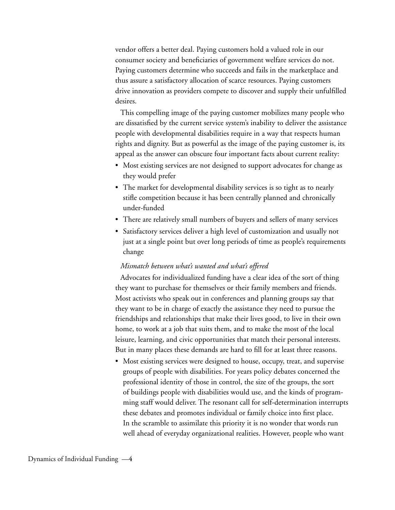vendor offers a better deal. Paying customers hold a valued role in our consumer society and beneficiaries of government welfare services do not. Paying customers determine who succeeds and fails in the marketplace and thus assure a satisfactory allocation of scarce resources. Paying customers drive innovation as providers compete to discover and supply their unfulfilled desires.

This compelling image of the paying customer mobilizes many people who are dissatisfied by the current service system's inability to deliver the assistance people with developmental disabilities require in a way that respects human rights and dignity. But as powerful as the image of the paying customer is, its appeal as the answer can obscure four important facts about current reality:

- Most existing services are not designed to support advocates for change as they would prefer
- The market for developmental disability services is so tight as to nearly stifle competition because it has been centrally planned and chronically under-funded
- There are relatively small numbers of buyers and sellers of many services
- Satisfactory services deliver a high level of customization and usually not just at a single point but over long periods of time as people's requirements change

## *Mismatch between what's wanted and what's offered*

Advocates for individualized funding have a clear idea of the sort of thing they want to purchase for themselves or their family members and friends. Most activists who speak out in conferences and planning groups say that they want to be in charge of exactly the assistance they need to pursue the friendships and relationships that make their lives good, to live in their own home, to work at a job that suits them, and to make the most of the local leisure, learning, and civic opportunities that match their personal interests. But in many places these demands are hard to fill for at least three reasons.

• Most existing services were designed to house, occupy, treat, and supervise groups of people with disabilities. For years policy debates concerned the professional identity of those in control, the size of the groups, the sort of buildings people with disabilities would use, and the kinds of programming staff would deliver. The resonant call for self-determination interrupts these debates and promotes individual or family choice into first place. In the scramble to assimilate this priority it is no wonder that words run well ahead of everyday organizational realities. However, people who want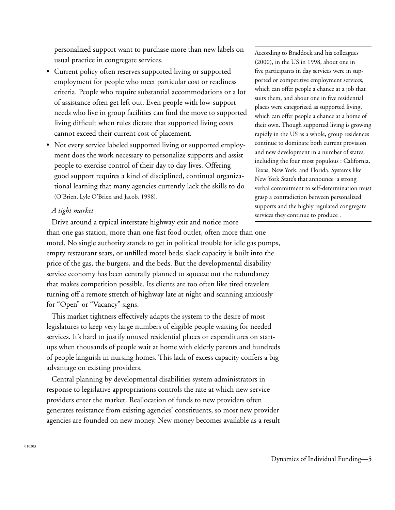personalized support want to purchase more than new labels on usual practice in congregate services.

- Current policy often reserves supported living or supported employment for people who meet particular cost or readiness criteria. People who require substantial accommodations or a lot of assistance often get left out. Even people with low-support needs who live in group facilities can find the move to supported living difficult when rules dictate that supported living costs cannot exceed their current cost of placement.
- Not every service labeled supported living or supported employment does the work necessary to personalize supports and assist people to exercise control of their day to day lives. Offering good support requires a kind of disciplined, continual organizational learning that many agencies currently lack the skills to do (O'Brien, Lyle O'Brien and Jacob, 1998).

## *A tight market*

Drive around a typical interstate highway exit and notice more than one gas station, more than one fast food outlet, often more than one motel. No single authority stands to get in political trouble for idle gas pumps, empty restaurant seats, or unfilled motel beds; slack capacity is built into the price of the gas, the burgers, and the beds. But the developmental disability service economy has been centrally planned to squeeze out the redundancy that makes competition possible. Its clients are too often like tired travelers turning off a remote stretch of highway late at night and scanning anxiously for "Open" or "Vacancy" signs.

This market tightness effectively adapts the system to the desire of most legislatures to keep very large numbers of eligible people waiting for needed services. It's hard to justify unused residential places or expenditures on startups when thousands of people wait at home with elderly parents and hundreds of people languish in nursing homes. This lack of excess capacity confers a big advantage on existing providers.

Central planning by developmental disabilities system administrators in response to legislative appropriations controls the rate at which new service providers enter the market. Reallocation of funds to new providers often generates resistance from existing agencies' constituents, so most new provider agencies are founded on new money. New money becomes available as a result

According to Braddock and his colleagues (2000), in the US in 1998, about one in five participants in day services were in supported or competitive employment services, which can offer people a chance at a job that suits them, and about one in five residential places were categorized as supported living, which can offer people a chance at a home of their own. Though supported living is growing rapidly in the US as a whole, group residences continue to dominate both current provision and new development in a number of states, including the four most populous : California, Texas, New York. and Florida. Systems like New York State's that announce a strong verbal commitment to self-determination must grasp a contradiction between personalized supports and the highly regulated congregate services they continue to produce .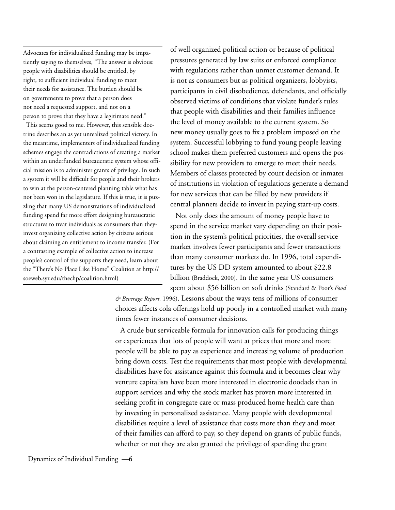Advocates for individualized funding may be impatiently saying to themselves, "The answer is obvious: people with disabilities should be entitled, by right, to sufficient individual funding to meet their needs for assistance. The burden should be on governments to prove that a person does not need a requested support, and not on a person to prove that they have a legitimate need."

 This seems good to me. However, this sensible doctrine describes an as yet unrealized political victory. In the meantime, implementers of individualized funding schemes engage the contradictions of creating a market within an underfunded bureaucratic system whose official mission is to administer grants of privilege. In such a system it will be difficult for people and their brokers to win at the person-centered planning table what has not been won in the legislature. If this is true, it is puzzling that many US demonstrations of individualized funding spend far more effort designing bureaucratic structures to treat individuals as consumers than theyinvest organizing collective action by citizens serious about claiming an entitlement to income transfer. (For a contrasting example of collective action to increase people's control of the supports they need, learn about the "There's No Place Like Home" Coalition at http:// soeweb.syr.edu/thechp/coalition.html)

of well organized political action or because of political pressures generated by law suits or enforced compliance with regulations rather than unmet customer demand. It is not as consumers but as political organizers, lobbyists, participants in civil disobedience, defendants, and officially observed victims of conditions that violate funder's rules that people with disabilities and their families influence the level of money available to the current system. So new money usually goes to fix a problem imposed on the system. Successful lobbying to fund young people leaving school makes them preferred customers and opens the possibility for new providers to emerge to meet their needs. Members of classes protected by court decision or inmates of institutions in violation of regulations generate a demand for new services that can be filled by new providers if central planners decide to invest in paying start-up costs.

Not only does the amount of money people have to spend in the service market vary depending on their position in the system's political priorities, the overall service market involves fewer participants and fewer transactions than many consumer markets do. In 1996, total expenditures by the US DD system amounted to about \$22.8 billion (Braddock, 2000). In the same year US consumers spent about \$56 billion on soft drinks (Standard & Poor's *Food* 

*& Beverage Report,* 1996). Lessons about the ways tens of millions of consumer choices affects cola offerings hold up poorly in a controlled market with many times fewer instances of consumer decisions.

A crude but serviceable formula for innovation calls for producing things or experiences that lots of people will want at prices that more and more people will be able to pay as experience and increasing volume of production bring down costs. Test the requirements that most people with developmental disabilities have for assistance against this formula and it becomes clear why venture capitalists have been more interested in electronic doodads than in support services and why the stock market has proven more interested in seeking profit in congregate care or mass produced home health care than by investing in personalized assistance. Many people with developmental disabilities require a level of assistance that costs more than they and most of their families can afford to pay, so they depend on grants of public funds, whether or not they are also granted the privilege of spending the grant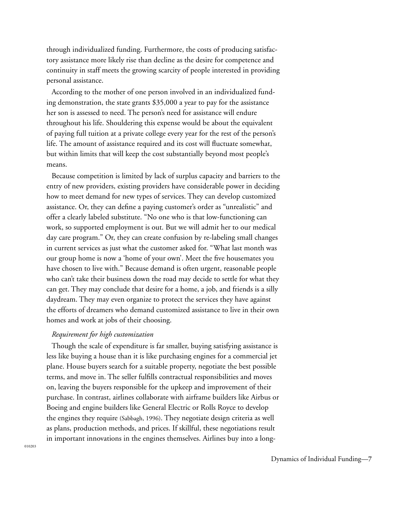through individualized funding. Furthermore, the costs of producing satisfactory assistance more likely rise than decline as the desire for competence and continuity in staff meets the growing scarcity of people interested in providing personal assistance.

According to the mother of one person involved in an individualized funding demonstration, the state grants \$35,000 a year to pay for the assistance her son is assessed to need. The person's need for assistance will endure throughout his life. Shouldering this expense would be about the equivalent of paying full tuition at a private college every year for the rest of the person's life. The amount of assistance required and its cost will fluctuate somewhat, but within limits that will keep the cost substantially beyond most people's means.

Because competition is limited by lack of surplus capacity and barriers to the entry of new providers, existing providers have considerable power in deciding how to meet demand for new types of services. They can develop customized assistance. Or, they can define a paying customer's order as "unrealistic" and offer a clearly labeled substitute. "No one who is that low-functioning can work, so supported employment is out. But we will admit her to our medical day care program." Or, they can create confusion by re-labeling small changes in current services as just what the customer asked for. "What last month was our group home is now a 'home of your own'. Meet the five housemates you have chosen to live with." Because demand is often urgent, reasonable people who can't take their business down the road may decide to settle for what they can get. They may conclude that desire for a home, a job, and friends is a silly daydream. They may even organize to protect the services they have against the efforts of dreamers who demand customized assistance to live in their own homes and work at jobs of their choosing.

## *Requirement for high customization*

Though the scale of expenditure is far smaller, buying satisfying assistance is less like buying a house than it is like purchasing engines for a commercial jet plane. House buyers search for a suitable property, negotiate the best possible terms, and move in. The seller fulfills contractual responsibilities and moves on, leaving the buyers responsible for the upkeep and improvement of their purchase. In contrast, airlines collaborate with airframe builders like Airbus or Boeing and engine builders like General Electric or Rolls Royce to develop the engines they require (Sabbagh, 1996). They negotiate design criteria as well as plans, production methods, and prices. If skillful, these negotiations result in important innovations in the engines themselves. Airlines buy into a long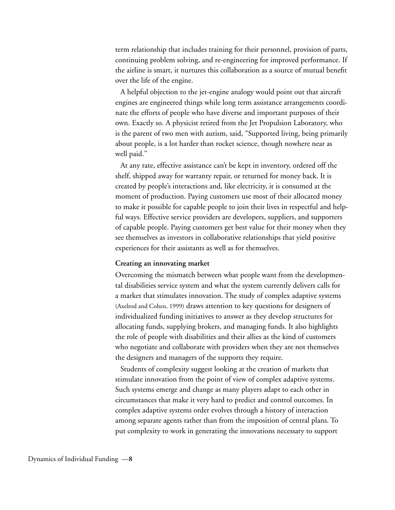term relationship that includes training for their personnel, provision of parts, continuing problem solving, and re-engineering for improved performance. If the airline is smart, it nurtures this collaboration as a source of mutual benefit over the life of the engine.

A helpful objection to the jet-engine analogy would point out that aircraft engines are engineered things while long term assistance arrangements coordinate the efforts of people who have diverse and important purposes of their own. Exactly so. A physicist retired from the Jet Propulsion Laboratory, who is the parent of two men with autism, said, "Supported living, being primarily about people, is a lot harder than rocket science, though nowhere near as well paid."

At any rate, effective assistance can't be kept in inventory, ordered off the shelf, shipped away for warranty repair, or returned for money back. It is created by people's interactions and, like electricity, it is consumed at the moment of production. Paying customers use most of their allocated money to make it possible for capable people to join their lives in respectful and helpful ways. Effective service providers are developers, suppliers, and supporters of capable people. Paying customers get best value for their money when they see themselves as investors in collaborative relationships that yield positive experiences for their assistants as well as for themselves.

#### **Creating an innovating market**

Overcoming the mismatch between what people want from the developmental disabilities service system and what the system currently delivers calls for a market that stimulates innovation. The study of complex adaptive systems (Axelrod and Cohen, 1999) draws attention to key questions for designers of individualized funding initiatives to answer as they develop structures for allocating funds, supplying brokers, and managing funds. It also highlights the role of people with disabilities and their allies as the kind of customers who negotiate and collaborate with providers when they are not themselves the designers and managers of the supports they require.

Students of complexity suggest looking at the creation of markets that stimulate innovation from the point of view of complex adaptive systems. Such systems emerge and change as many players adapt to each other in circumstances that make it very hard to predict and control outcomes. In complex adaptive systems order evolves through a history of interaction among separate agents rather than from the imposition of central plans. To put complexity to work in generating the innovations necessary to support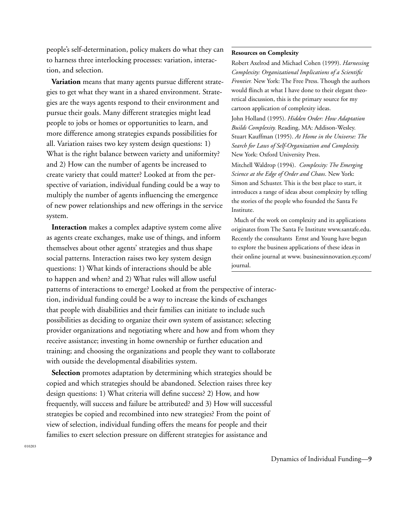people's self-determination, policy makers do what they can to harness three interlocking processes: variation, interaction, and selection.

**Variation** means that many agents pursue different strategies to get what they want in a shared environment. Strategies are the ways agents respond to their environment and pursue their goals. Many different strategies might lead people to jobs or homes or opportunities to learn, and more difference among strategies expands possibilities for all. Variation raises two key system design questions: 1) What is the right balance between variety and uniformity? and 2) How can the number of agents be increased to create variety that could matter? Looked at from the perspective of variation, individual funding could be a way to multiply the number of agents influencing the emergence of new power relationships and new offerings in the service system.

**Interaction** makes a complex adaptive system come alive as agents create exchanges, make use of things, and inform themselves about other agents' strategies and thus shape social patterns. Interaction raises two key system design questions: 1) What kinds of interactions should be able to happen and when? and 2) What rules will allow useful

patterns of interactions to emerge? Looked at from the perspective of interaction, individual funding could be a way to increase the kinds of exchanges that people with disabilities and their families can initiate to include such possibilities as deciding to organize their own system of assistance; selecting provider organizations and negotiating where and how and from whom they receive assistance; investing in home ownership or further education and training; and choosing the organizations and people they want to collaborate with outside the developmental disabilities system.

**Selection** promotes adaptation by determining which strategies should be copied and which strategies should be abandoned. Selection raises three key design questions: 1) What criteria will define success? 2) How, and how frequently, will success and failure be attributed? and 3) How will successful strategies be copied and recombined into new strategies? From the point of view of selection, individual funding offers the means for people and their families to exert selection pressure on different strategies for assistance and

#### **Resources on Complexity**

Robert Axelrod and Michael Cohen (1999). *Harnessing Complexity: Organizational Implications of a Scientific Frontier.* New York: The Free Press. Though the authors would flinch at what I have done to their elegant theoretical discussion, this is the primary source for my cartoon application of complexity ideas.

John Holland (1995). *Hidden Order: How Adaptation Builds Complexity.* Reading, MA: Addison-Wesley. Stuart Kauffman (1995). *At Home in the Universe: The Search for Laws of Self-Organization and Complexity.* New York: Oxford University Press.

Mitchell Waldrop (1994). *Complexity: The Emerging Science at the Edge of Order and Chaos*. New York: Simon and Schuster. This is the best place to start, it introduces a range of ideas about complexity by telling the stories of the people who founded the Santa Fe Institute.

Much of the work on complexity and its applications originates from The Santa Fe Institute www.santafe.edu. Recently the consultants Ernst and Young have begun to explore the business applications of these ideas in their online journal at www. businessinnovation.ey.com/ journal.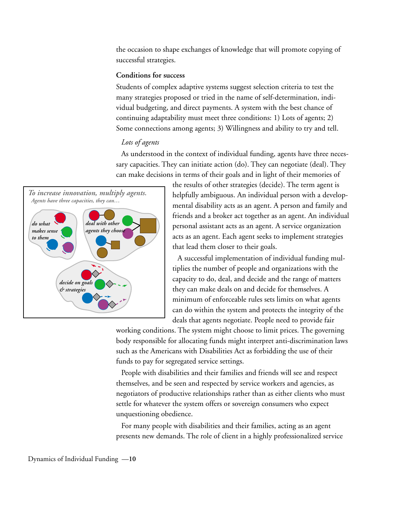the occasion to shape exchanges of knowledge that will promote copying of successful strategies.

## **Conditions for success**

Students of complex adaptive systems suggest selection criteria to test the many strategies proposed or tried in the name of self-determination, individual budgeting, and direct payments. A system with the best chance of continuing adaptability must meet three conditions: 1) Lots of agents; 2) Some connections among agents; 3) Willingness and ability to try and tell.

# *Lots of agents*

As understood in the context of individual funding, agents have three necessary capacities. They can initiate action (do). They can negotiate (deal). They can make decisions in terms of their goals and in light of their memories of



the results of other strategies (decide). The term agent is helpfully ambiguous. An individual person with a developmental disability acts as an agent. A person and family and friends and a broker act together as an agent. An individual personal assistant acts as an agent. A service organization acts as an agent. Each agent seeks to implement strategies that lead them closer to their goals.

A successful implementation of individual funding multiplies the number of people and organizations with the capacity to do, deal, and decide and the range of matters they can make deals on and decide for themselves. A minimum of enforceable rules sets limits on what agents can do within the system and protects the integrity of the deals that agents negotiate. People need to provide fair

working conditions. The system might choose to limit prices. The governing body responsible for allocating funds might interpret anti-discrimination laws such as the Americans with Disabilities Act as forbidding the use of their funds to pay for segregated service settings.

People with disabilities and their families and friends will see and respect themselves, and be seen and respected by service workers and agencies, as negotiators of productive relationships rather than as either clients who must settle for whatever the system offers or sovereign consumers who expect unquestioning obedience.

For many people with disabilities and their families, acting as an agent presents new demands. The role of client in a highly professionalized service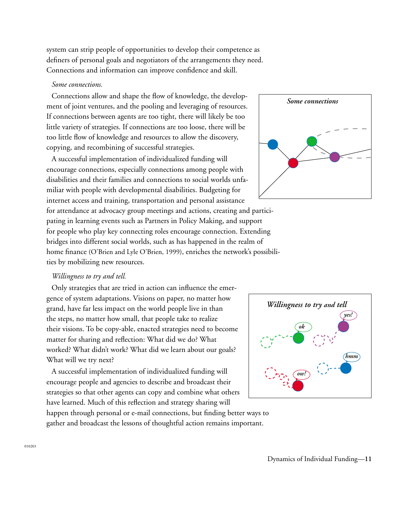system can strip people of opportunities to develop their competence as definers of personal goals and negotiators of the arrangements they need. Connections and information can improve confidence and skill.

## *Some connections.*

Connections allow and shape the flow of knowledge, the development of joint ventures, and the pooling and leveraging of resources. If connections between agents are too tight, there will likely be too little variety of strategies. If connections are too loose, there will be too little flow of knowledge and resources to allow the discovery, copying, and recombining of successful strategies.

A successful implementation of individualized funding will encourage connections, especially connections among people with disabilities and their families and connections to social worlds unfamiliar with people with developmental disabilities. Budgeting for

internet access and training, transportation and personal assistance for attendance at advocacy group meetings and actions, creating and participating in learning events such as Partners in Policy Making, and support for people who play key connecting roles encourage connection. Extending bridges into different social worlds, such as has happened in the realm of home finance (O'Brien and Lyle O'Brien, 1999), enriches the network's possibilities by mobilizing new resources.

# *Willingness to try and tell.*

Only strategies that are tried in action can influence the emergence of system adaptations. Visions on paper, no matter how grand, have far less impact on the world people live in than the steps, no matter how small, that people take to realize their visions. To be copy-able, enacted strategies need to become matter for sharing and reflection: What did we do? What worked? What didn't work? What did we learn about our goals? What will we try next?

A successful implementation of individualized funding will encourage people and agencies to describe and broadcast their strategies so that other agents can copy and combine what others have learned. Much of this reflection and strategy sharing will happen through personal or e-mail connections, but finding better ways to

gather and broadcast the lessons of thoughtful action remains important.



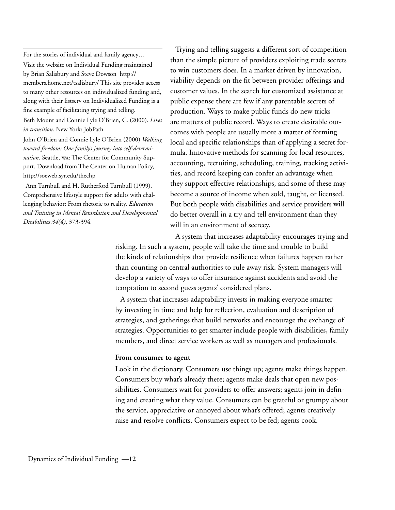For the stories of individual and family agency…

Visit the website on Individual Funding maintained by Brian Salisbury and Steve Dowson http:// members.home.net/tsalisbury/ This site provides access to many other resources on individualized funding and, along with their listserv on Individualized Funding is a fine example of facilitating trying and telling. Beth Mount and Connie Lyle O'Brien, C. (2000). *Lives in transition*. New York: JobPath John O'Brien and Connie Lyle O'Brien (2000) *Walking toward freedom: One family's journey into self-determination*. Seattle, wa: The Center for Community Sup-

port. Download from The Center on Human Policy, http://soeweb.syr.edu/thechp Ann Turnbull and H. Rutherford Turnbull (1999).

Comprehensive lifestyle support for adults with challenging behavior: From rhetoric to reality. *Education and Training in Mental Retardation and Developmental Disabilities 34(4)*, 373-394.

Trying and telling suggests a different sort of competition than the simple picture of providers exploiting trade secrets to win customers does. In a market driven by innovation, viability depends on the fit between provider offerings and customer values. In the search for customized assistance at public expense there are few if any patentable secrets of production. Ways to make public funds do new tricks are matters of public record. Ways to create desirable outcomes with people are usually more a matter of forming local and specific relationships than of applying a secret formula. Innovative methods for scanning for local resources, accounting, recruiting, scheduling, training, tracking activities, and record keeping can confer an advantage when they support effective relationships, and some of these may become a source of income when sold, taught, or licensed. But both people with disabilities and service providers will do better overall in a try and tell environment than they will in an environment of secrecy.

A system that increases adaptability encourages trying and risking. In such a system, people will take the time and trouble to build the kinds of relationships that provide resilience when failures happen rather than counting on central authorities to rule away risk. System managers will develop a variety of ways to offer insurance against accidents and avoid the temptation to second guess agents' considered plans.

A system that increases adaptability invests in making everyone smarter by investing in time and help for reflection, evaluation and description of strategies, and gatherings that build networks and encourage the exchange of strategies. Opportunities to get smarter include people with disabilities, family members, and direct service workers as well as managers and professionals.

#### **From consumer to agent**

Look in the dictionary. Consumers use things up; agents make things happen. Consumers buy what's already there; agents make deals that open new possibilities. Consumers wait for providers to offer answers; agents join in defining and creating what they value. Consumers can be grateful or grumpy about the service, appreciative or annoyed about what's offered; agents creatively raise and resolve conflicts. Consumers expect to be fed; agents cook.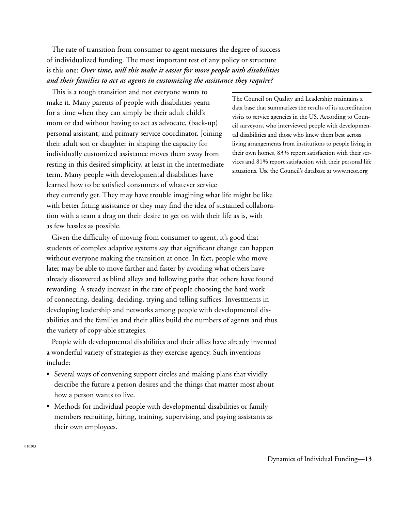The rate of transition from consumer to agent measures the degree of success of individualized funding. The most important test of any policy or structure is this one: *Over time, will this make it easier for more people with disabilities and their families to act as agents in customizing the assistance they require?*

This is a tough transition and not everyone wants to make it. Many parents of people with disabilities yearn for a time when they can simply be their adult child's mom or dad without having to act as advocate, (back-up) personal assistant, and primary service coordinator. Joining their adult son or daughter in shaping the capacity for individually customized assistance moves them away from resting in this desired simplicity, at least in the intermediate term. Many people with developmental disabilities have learned how to be satisfied consumers of whatever service

they currently get. They may have trouble imagining what life might be like with better fitting assistance or they may find the idea of sustained collaboration with a team a drag on their desire to get on with their life as is, with as few hassles as possible.

Given the difficulty of moving from consumer to agent, it's good that students of complex adaptive systems say that significant change can happen without everyone making the transition at once. In fact, people who move later may be able to move farther and faster by avoiding what others have already discovered as blind alleys and following paths that others have found rewarding. A steady increase in the rate of people choosing the hard work of connecting, dealing, deciding, trying and telling suffices. Investments in developing leadership and networks among people with developmental disabilities and the families and their allies build the numbers of agents and thus the variety of copy-able strategies.

People with developmental disabilities and their allies have already invented a wonderful variety of strategies as they exercise agency. Such inventions include:

- Several ways of convening support circles and making plans that vividly describe the future a person desires and the things that matter most about how a person wants to live.
- Methods for individual people with developmental disabilities or family members recruiting, hiring, training, supervising, and paying assistants as their own employees.

The Council on Quality and Leadership maintains a data base that summarizes the results of its accreditation visits to service agencies in the US. According to Council surveyors, who interviewed people with developmental disabilities and those who knew them best across living arrangements from institutions to people living in their own homes, 83% report satisfaction with their services and 81% report satisfaction with their personal life situations. Use the Council's database at www.ncor.org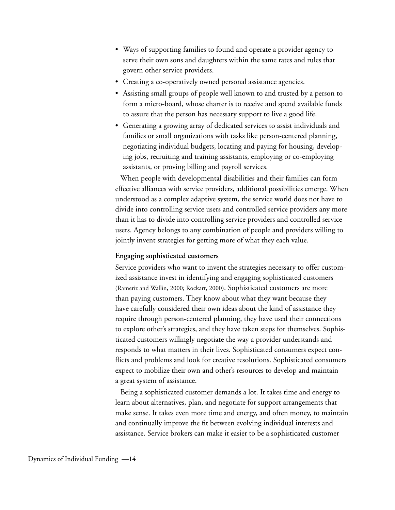- Ways of supporting families to found and operate a provider agency to serve their own sons and daughters within the same rates and rules that govern other service providers.
- Creating a co-operatively owned personal assistance agencies.
- Assisting small groups of people well known to and trusted by a person to form a micro-board, whose charter is to receive and spend available funds to assure that the person has necessary support to live a good life.
- Generating a growing array of dedicated services to assist individuals and families or small organizations with tasks like person-centered planning, negotiating individual budgets, locating and paying for housing, developing jobs, recruiting and training assistants, employing or co-employing assistants, or proving billing and payroll services.

When people with developmental disabilities and their families can form effective alliances with service providers, additional possibilities emerge. When understood as a complex adaptive system, the service world does not have to divide into controlling service users and controlled service providers any more than it has to divide into controlling service providers and controlled service users. Agency belongs to any combination of people and providers willing to jointly invent strategies for getting more of what they each value.

#### **Engaging sophisticated customers**

Service providers who want to invent the strategies necessary to offer customized assistance invest in identifying and engaging sophisticated customers (Rameriz and Wallin, 2000; Rockart, 2000). Sophisticated customers are more than paying customers. They know about what they want because they have carefully considered their own ideas about the kind of assistance they require through person-centered planning, they have used their connections to explore other's strategies, and they have taken steps for themselves. Sophisticated customers willingly negotiate the way a provider understands and responds to what matters in their lives. Sophisticated consumers expect conflicts and problems and look for creative resolutions. Sophisticated consumers expect to mobilize their own and other's resources to develop and maintain a great system of assistance.

Being a sophisticated customer demands a lot. It takes time and energy to learn about alternatives, plan, and negotiate for support arrangements that make sense. It takes even more time and energy, and often money, to maintain and continually improve the fit between evolving individual interests and assistance. Service brokers can make it easier to be a sophisticated customer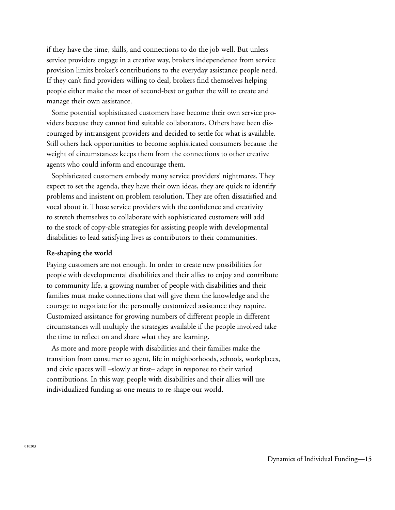if they have the time, skills, and connections to do the job well. But unless service providers engage in a creative way, brokers independence from service provision limits broker's contributions to the everyday assistance people need. If they can't find providers willing to deal, brokers find themselves helping people either make the most of second-best or gather the will to create and manage their own assistance.

Some potential sophisticated customers have become their own service providers because they cannot find suitable collaborators. Others have been discouraged by intransigent providers and decided to settle for what is available. Still others lack opportunities to become sophisticated consumers because the weight of circumstances keeps them from the connections to other creative agents who could inform and encourage them.

Sophisticated customers embody many service providers' nightmares. They expect to set the agenda, they have their own ideas, they are quick to identify problems and insistent on problem resolution. They are often dissatisfied and vocal about it. Those service providers with the confidence and creativity to stretch themselves to collaborate with sophisticated customers will add to the stock of copy-able strategies for assisting people with developmental disabilities to lead satisfying lives as contributors to their communities.

#### **Re-shaping the world**

Paying customers are not enough. In order to create new possibilities for people with developmental disabilities and their allies to enjoy and contribute to community life, a growing number of people with disabilities and their families must make connections that will give them the knowledge and the courage to negotiate for the personally customized assistance they require. Customized assistance for growing numbers of different people in different circumstances will multiply the strategies available if the people involved take the time to reflect on and share what they are learning.

As more and more people with disabilities and their families make the transition from consumer to agent, life in neighborhoods, schools, workplaces, and civic spaces will –slowly at first– adapt in response to their varied contributions. In this way, people with disabilities and their allies will use individualized funding as one means to re-shape our world.